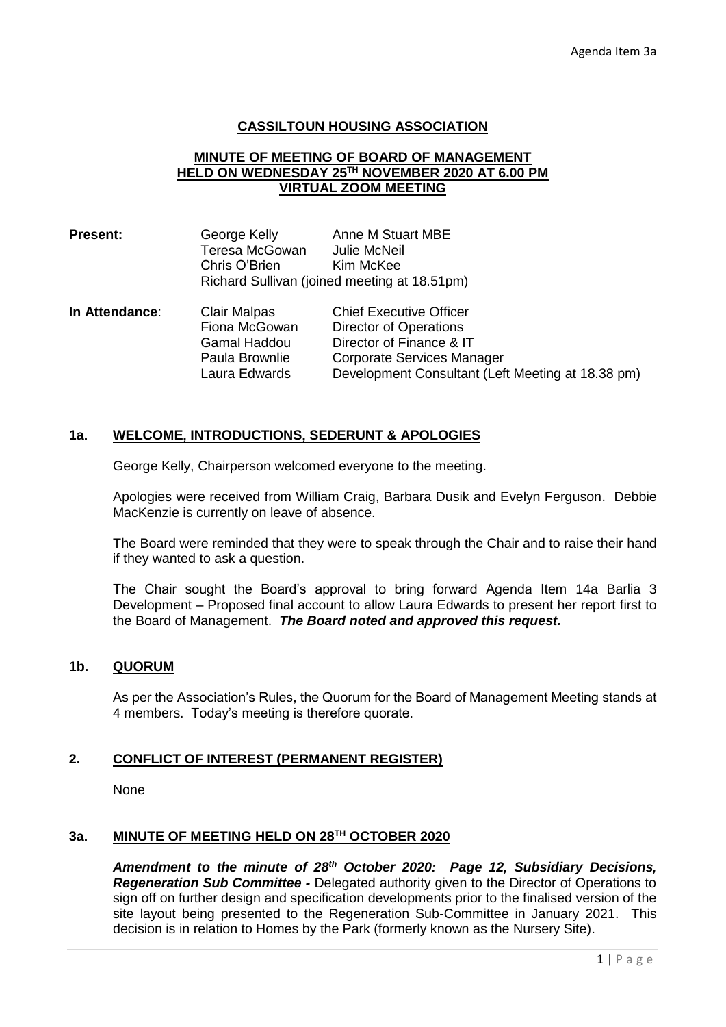## **CASSILTOUN HOUSING ASSOCIATION**

### **MINUTE OF MEETING OF BOARD OF MANAGEMENT HELD ON WEDNESDAY 25TH NOVEMBER 2020 AT 6.00 PM VIRTUAL ZOOM MEETING**

| <b>Present:</b> | George Kelly                                 | Anne M Stuart MBE |  |
|-----------------|----------------------------------------------|-------------------|--|
|                 | Teresa McGowan                               | Julie McNeil      |  |
|                 | Chris O'Brien                                | Kim McKee         |  |
|                 | Richard Sullivan (joined meeting at 18.51pm) |                   |  |
|                 |                                              |                   |  |

**In Attendance**: Clair Malpas Chief Executive Officer Fiona McGowan Director of Operations Gamal Haddou Director of Finance & IT Paula Brownlie Corporate Services Manager Laura Edwards Development Consultant (Left Meeting at 18.38 pm)

# **1a. WELCOME, INTRODUCTIONS, SEDERUNT & APOLOGIES**

George Kelly, Chairperson welcomed everyone to the meeting.

Apologies were received from William Craig, Barbara Dusik and Evelyn Ferguson. Debbie MacKenzie is currently on leave of absence.

The Board were reminded that they were to speak through the Chair and to raise their hand if they wanted to ask a question.

The Chair sought the Board's approval to bring forward Agenda Item 14a Barlia 3 Development – Proposed final account to allow Laura Edwards to present her report first to the Board of Management. *The Board noted and approved this request.* 

#### **1b. QUORUM**

As per the Association's Rules, the Quorum for the Board of Management Meeting stands at 4 members. Today's meeting is therefore quorate.

# **2. CONFLICT OF INTEREST (PERMANENT REGISTER)**

None

### **3a. MINUTE OF MEETING HELD ON 28TH OCTOBER 2020**

*Amendment to the minute of 28th October 2020: Page 12, Subsidiary Decisions, Regeneration Sub Committee -* Delegated authority given to the Director of Operations to sign off on further design and specification developments prior to the finalised version of the site layout being presented to the Regeneration Sub-Committee in January 2021. This decision is in relation to Homes by the Park (formerly known as the Nursery Site).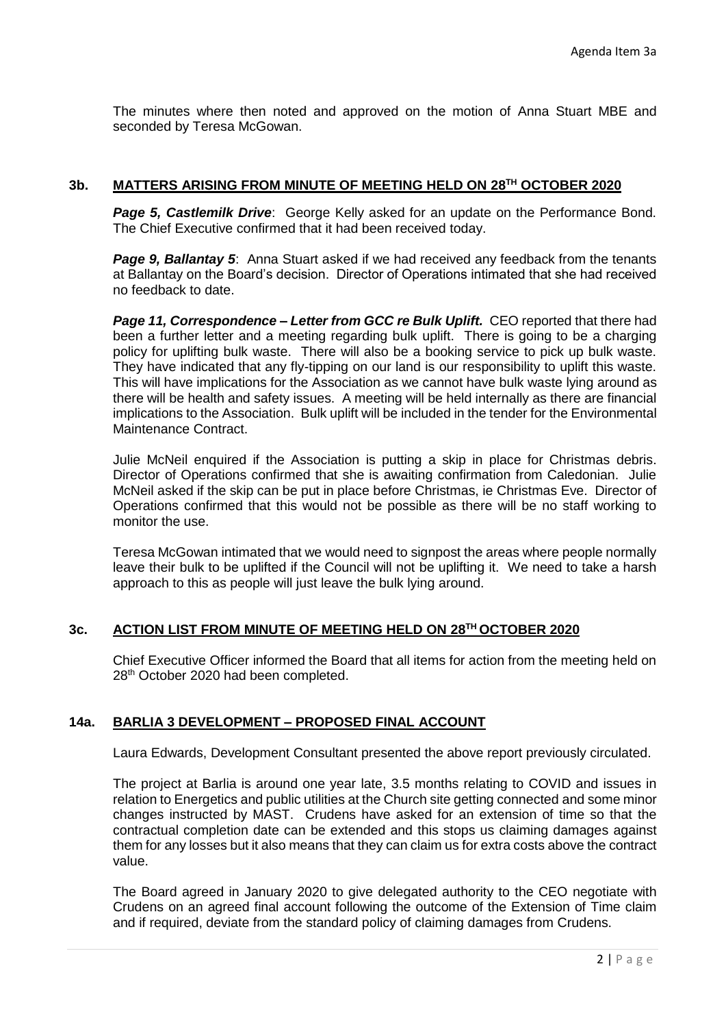The minutes where then noted and approved on the motion of Anna Stuart MBE and seconded by Teresa McGowan.

## **3b. MATTERS ARISING FROM MINUTE OF MEETING HELD ON 28TH OCTOBER 2020**

**Page 5, Castlemilk Drive:** George Kelly asked for an update on the Performance Bond. The Chief Executive confirmed that it had been received today.

**Page 9, Ballantay 5:** Anna Stuart asked if we had received any feedback from the tenants at Ballantay on the Board's decision. Director of Operations intimated that she had received no feedback to date.

*Page 11, Correspondence – Letter from GCC re Bulk Uplift.* CEO reported that there had been a further letter and a meeting regarding bulk uplift. There is going to be a charging policy for uplifting bulk waste. There will also be a booking service to pick up bulk waste. They have indicated that any fly-tipping on our land is our responsibility to uplift this waste. This will have implications for the Association as we cannot have bulk waste lying around as there will be health and safety issues. A meeting will be held internally as there are financial implications to the Association. Bulk uplift will be included in the tender for the Environmental Maintenance Contract.

Julie McNeil enquired if the Association is putting a skip in place for Christmas debris. Director of Operations confirmed that she is awaiting confirmation from Caledonian. Julie McNeil asked if the skip can be put in place before Christmas, ie Christmas Eve. Director of Operations confirmed that this would not be possible as there will be no staff working to monitor the use.

Teresa McGowan intimated that we would need to signpost the areas where people normally leave their bulk to be uplifted if the Council will not be uplifting it. We need to take a harsh approach to this as people will just leave the bulk lying around.

# **3c. ACTION LIST FROM MINUTE OF MEETING HELD ON 28TH OCTOBER 2020**

Chief Executive Officer informed the Board that all items for action from the meeting held on 28<sup>th</sup> October 2020 had been completed.

# **14a. BARLIA 3 DEVELOPMENT – PROPOSED FINAL ACCOUNT**

Laura Edwards, Development Consultant presented the above report previously circulated.

The project at Barlia is around one year late, 3.5 months relating to COVID and issues in relation to Energetics and public utilities at the Church site getting connected and some minor changes instructed by MAST. Crudens have asked for an extension of time so that the contractual completion date can be extended and this stops us claiming damages against them for any losses but it also means that they can claim us for extra costs above the contract value.

The Board agreed in January 2020 to give delegated authority to the CEO negotiate with Crudens on an agreed final account following the outcome of the Extension of Time claim and if required, deviate from the standard policy of claiming damages from Crudens.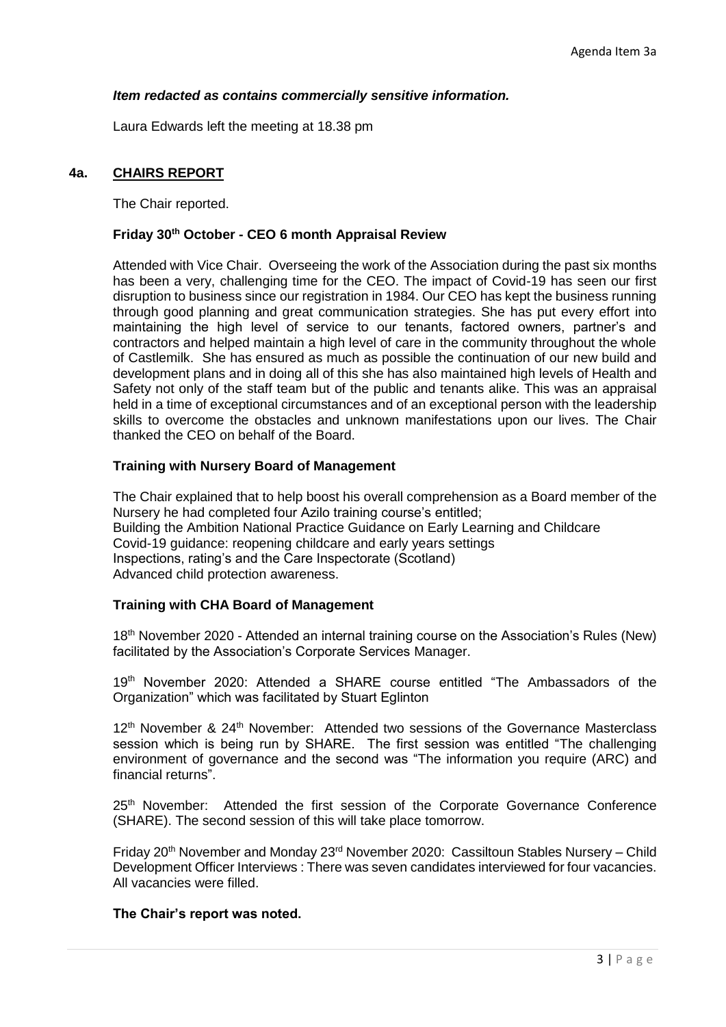## *Item redacted as contains commercially sensitive information.*

Laura Edwards left the meeting at 18.38 pm

## **4a. CHAIRS REPORT**

The Chair reported.

# **Friday 30th October - CEO 6 month Appraisal Review**

Attended with Vice Chair. Overseeing the work of the Association during the past six months has been a very, challenging time for the CEO. The impact of Covid-19 has seen our first disruption to business since our registration in 1984. Our CEO has kept the business running through good planning and great communication strategies. She has put every effort into maintaining the high level of service to our tenants, factored owners, partner's and contractors and helped maintain a high level of care in the community throughout the whole of Castlemilk. She has ensured as much as possible the continuation of our new build and development plans and in doing all of this she has also maintained high levels of Health and Safety not only of the staff team but of the public and tenants alike. This was an appraisal held in a time of exceptional circumstances and of an exceptional person with the leadership skills to overcome the obstacles and unknown manifestations upon our lives. The Chair thanked the CEO on behalf of the Board.

## **Training with Nursery Board of Management**

The Chair explained that to help boost his overall comprehension as a Board member of the Nursery he had completed four Azilo training course's entitled; Building the Ambition National Practice Guidance on Early Learning and Childcare Covid-19 guidance: reopening childcare and early years settings Inspections, rating's and the Care Inspectorate (Scotland) Advanced child protection awareness.

#### **Training with CHA Board of Management**

18<sup>th</sup> November 2020 - Attended an internal training course on the Association's Rules (New) facilitated by the Association's Corporate Services Manager.

19<sup>th</sup> November 2020: Attended a SHARE course entitled "The Ambassadors of the Organization" which was facilitated by Stuart Eglinton

12<sup>th</sup> November & 24<sup>th</sup> November: Attended two sessions of the Governance Masterclass session which is being run by SHARE. The first session was entitled "The challenging environment of governance and the second was "The information you require (ARC) and financial returns".

25<sup>th</sup> November: Attended the first session of the Corporate Governance Conference (SHARE). The second session of this will take place tomorrow.

Friday 20th November and Monday 23rd November 2020: Cassiltoun Stables Nursery – Child Development Officer Interviews : There was seven candidates interviewed for four vacancies. All vacancies were filled.

#### **The Chair's report was noted.**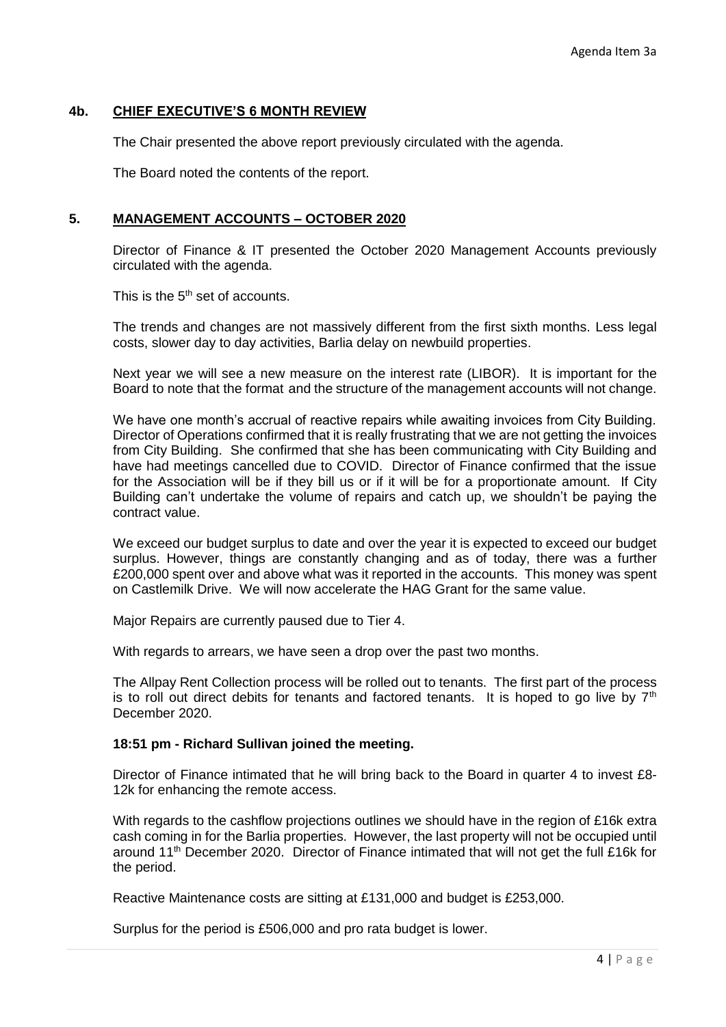# **4b. CHIEF EXECUTIVE'S 6 MONTH REVIEW**

The Chair presented the above report previously circulated with the agenda.

The Board noted the contents of the report.

# **5. MANAGEMENT ACCOUNTS – OCTOBER 2020**

Director of Finance & IT presented the October 2020 Management Accounts previously circulated with the agenda.

This is the 5<sup>th</sup> set of accounts.

The trends and changes are not massively different from the first sixth months. Less legal costs, slower day to day activities, Barlia delay on newbuild properties.

Next year we will see a new measure on the interest rate (LIBOR). It is important for the Board to note that the format and the structure of the management accounts will not change.

We have one month's accrual of reactive repairs while awaiting invoices from City Building. Director of Operations confirmed that it is really frustrating that we are not getting the invoices from City Building. She confirmed that she has been communicating with City Building and have had meetings cancelled due to COVID. Director of Finance confirmed that the issue for the Association will be if they bill us or if it will be for a proportionate amount. If City Building can't undertake the volume of repairs and catch up, we shouldn't be paying the contract value.

We exceed our budget surplus to date and over the year it is expected to exceed our budget surplus. However, things are constantly changing and as of today, there was a further £200,000 spent over and above what was it reported in the accounts. This money was spent on Castlemilk Drive. We will now accelerate the HAG Grant for the same value.

Major Repairs are currently paused due to Tier 4.

With regards to arrears, we have seen a drop over the past two months.

The Allpay Rent Collection process will be rolled out to tenants. The first part of the process is to roll out direct debits for tenants and factored tenants. It is hoped to go live by  $7<sup>th</sup>$ December 2020.

#### **18:51 pm - Richard Sullivan joined the meeting.**

Director of Finance intimated that he will bring back to the Board in quarter 4 to invest £8- 12k for enhancing the remote access.

With regards to the cashflow projections outlines we should have in the region of £16k extra cash coming in for the Barlia properties. However, the last property will not be occupied until around 11th December 2020. Director of Finance intimated that will not get the full £16k for the period.

Reactive Maintenance costs are sitting at £131,000 and budget is £253,000.

Surplus for the period is £506,000 and pro rata budget is lower.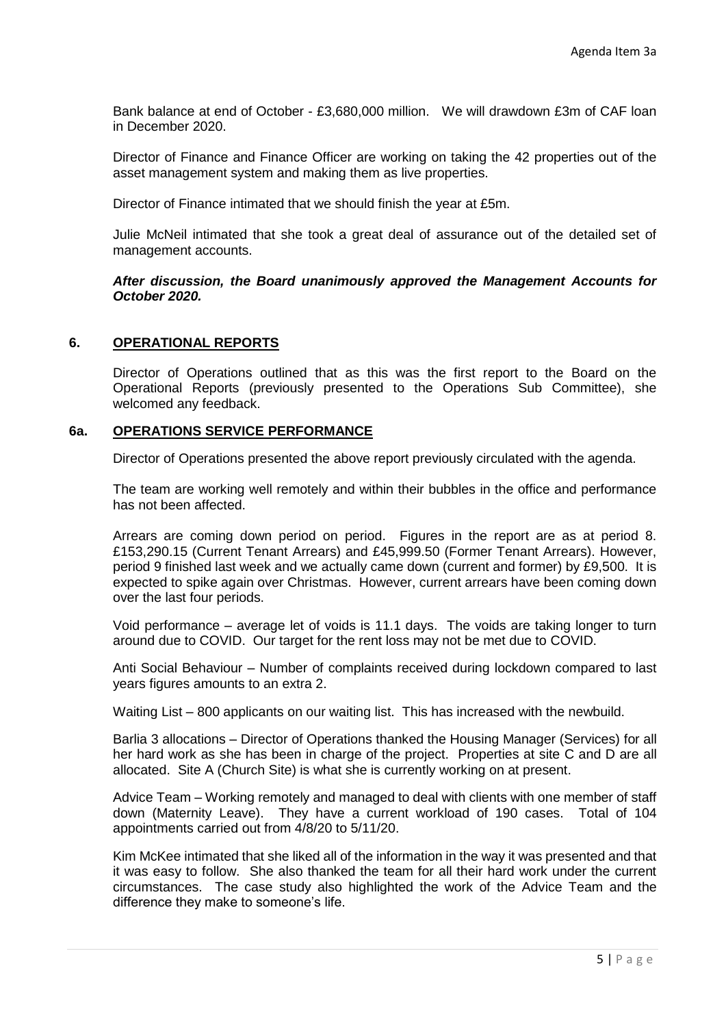Bank balance at end of October - £3,680,000 million. We will drawdown £3m of CAF loan in December 2020.

Director of Finance and Finance Officer are working on taking the 42 properties out of the asset management system and making them as live properties.

Director of Finance intimated that we should finish the year at £5m.

Julie McNeil intimated that she took a great deal of assurance out of the detailed set of management accounts.

*After discussion, the Board unanimously approved the Management Accounts for October 2020.*

#### **6. OPERATIONAL REPORTS**

Director of Operations outlined that as this was the first report to the Board on the Operational Reports (previously presented to the Operations Sub Committee), she welcomed any feedback.

#### **6a. OPERATIONS SERVICE PERFORMANCE**

Director of Operations presented the above report previously circulated with the agenda.

The team are working well remotely and within their bubbles in the office and performance has not been affected.

Arrears are coming down period on period. Figures in the report are as at period 8. £153,290.15 (Current Tenant Arrears) and £45,999.50 (Former Tenant Arrears). However, period 9 finished last week and we actually came down (current and former) by £9,500. It is expected to spike again over Christmas. However, current arrears have been coming down over the last four periods.

Void performance – average let of voids is 11.1 days. The voids are taking longer to turn around due to COVID. Our target for the rent loss may not be met due to COVID.

Anti Social Behaviour – Number of complaints received during lockdown compared to last years figures amounts to an extra 2.

Waiting List – 800 applicants on our waiting list. This has increased with the newbuild.

Barlia 3 allocations – Director of Operations thanked the Housing Manager (Services) for all her hard work as she has been in charge of the project. Properties at site C and D are all allocated. Site A (Church Site) is what she is currently working on at present.

Advice Team – Working remotely and managed to deal with clients with one member of staff down (Maternity Leave). They have a current workload of 190 cases. Total of 104 appointments carried out from 4/8/20 to 5/11/20.

Kim McKee intimated that she liked all of the information in the way it was presented and that it was easy to follow. She also thanked the team for all their hard work under the current circumstances. The case study also highlighted the work of the Advice Team and the difference they make to someone's life.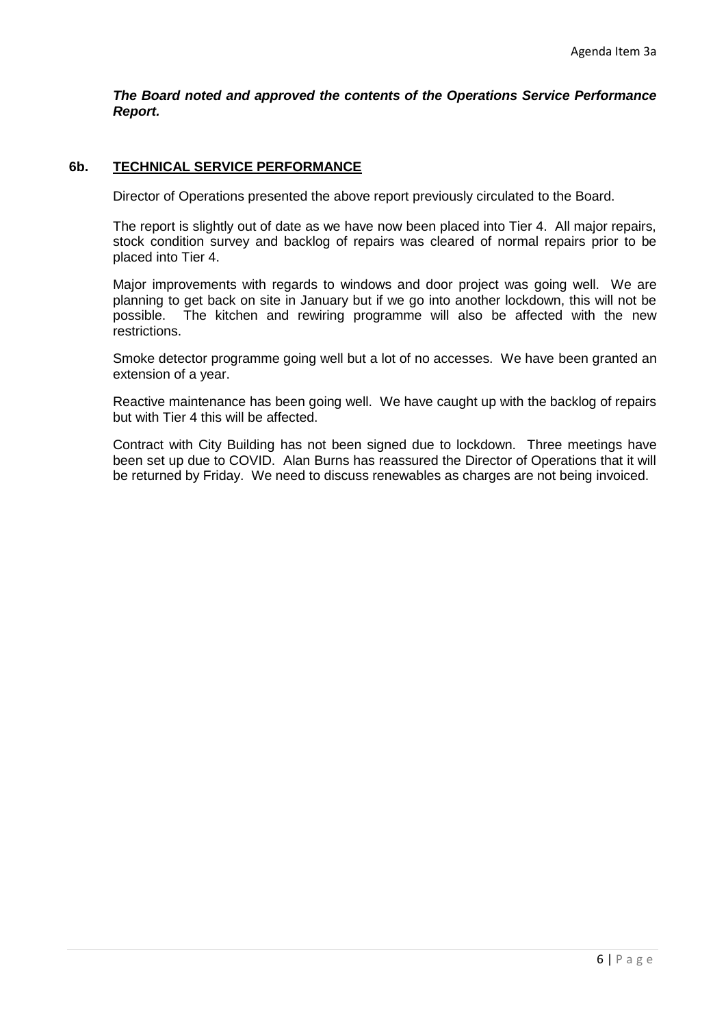*The Board noted and approved the contents of the Operations Service Performance Report.*

# **6b. TECHNICAL SERVICE PERFORMANCE**

Director of Operations presented the above report previously circulated to the Board.

The report is slightly out of date as we have now been placed into Tier 4. All major repairs, stock condition survey and backlog of repairs was cleared of normal repairs prior to be placed into Tier 4.

Major improvements with regards to windows and door project was going well. We are planning to get back on site in January but if we go into another lockdown, this will not be possible. The kitchen and rewiring programme will also be affected with the new restrictions.

Smoke detector programme going well but a lot of no accesses. We have been granted an extension of a year.

Reactive maintenance has been going well. We have caught up with the backlog of repairs but with Tier 4 this will be affected.

Contract with City Building has not been signed due to lockdown. Three meetings have been set up due to COVID. Alan Burns has reassured the Director of Operations that it will be returned by Friday. We need to discuss renewables as charges are not being invoiced.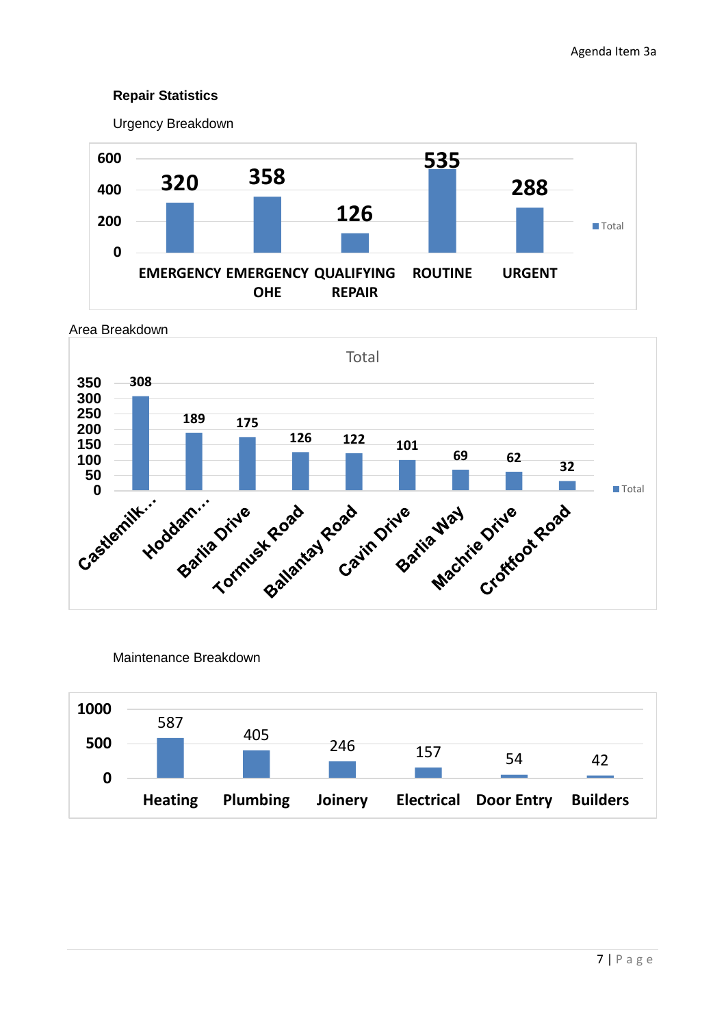# **Repair Statistics**

Urgency Breakdown





Maintenance Breakdown

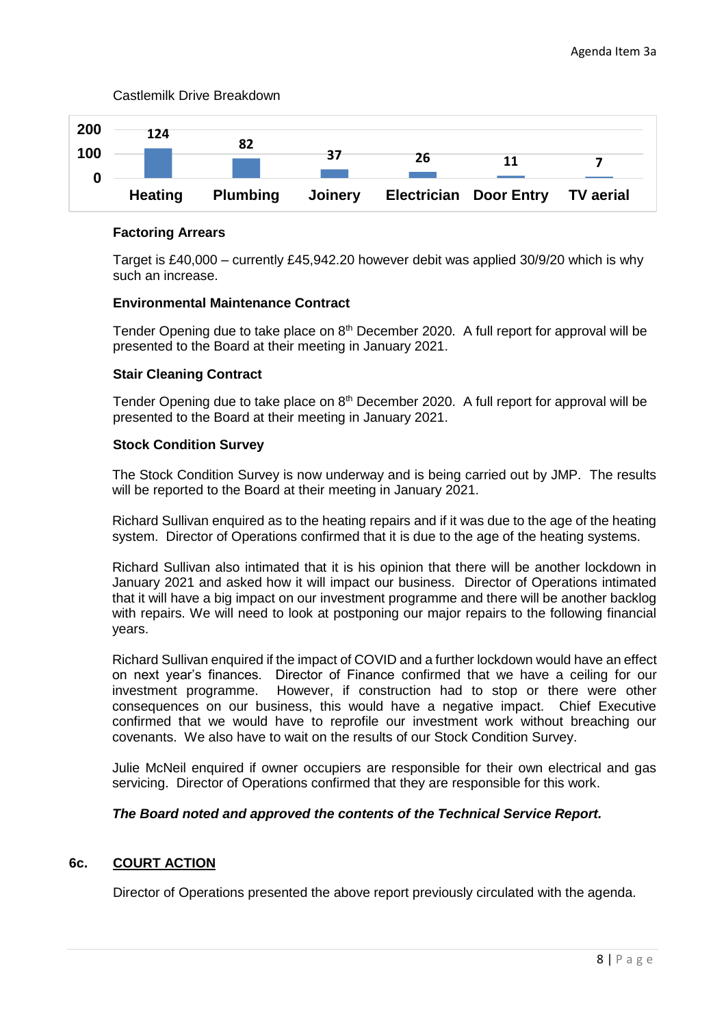

### Castlemilk Drive Breakdown

## **Factoring Arrears**

Target is £40,000 – currently £45,942.20 however debit was applied 30/9/20 which is why such an increase.

## **Environmental Maintenance Contract**

Tender Opening due to take place on  $8<sup>th</sup>$  December 2020. A full report for approval will be presented to the Board at their meeting in January 2021.

## **Stair Cleaning Contract**

Tender Opening due to take place on 8<sup>th</sup> December 2020. A full report for approval will be presented to the Board at their meeting in January 2021.

## **Stock Condition Survey**

The Stock Condition Survey is now underway and is being carried out by JMP. The results will be reported to the Board at their meeting in January 2021.

Richard Sullivan enquired as to the heating repairs and if it was due to the age of the heating system. Director of Operations confirmed that it is due to the age of the heating systems.

Richard Sullivan also intimated that it is his opinion that there will be another lockdown in January 2021 and asked how it will impact our business. Director of Operations intimated that it will have a big impact on our investment programme and there will be another backlog with repairs. We will need to look at postponing our major repairs to the following financial years.

Richard Sullivan enquired if the impact of COVID and a further lockdown would have an effect on next year's finances. Director of Finance confirmed that we have a ceiling for our investment programme. However, if construction had to stop or there were other consequences on our business, this would have a negative impact. Chief Executive confirmed that we would have to reprofile our investment work without breaching our covenants. We also have to wait on the results of our Stock Condition Survey.

Julie McNeil enquired if owner occupiers are responsible for their own electrical and gas servicing. Director of Operations confirmed that they are responsible for this work.

# *The Board noted and approved the contents of the Technical Service Report.*

# **6c. COURT ACTION**

Director of Operations presented the above report previously circulated with the agenda.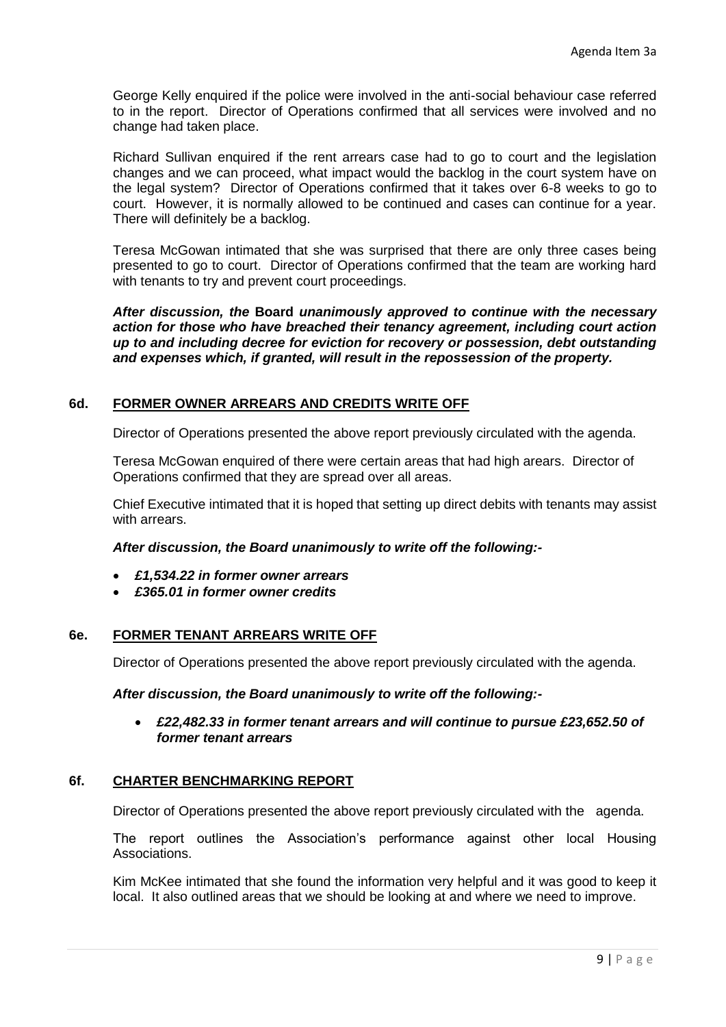George Kelly enquired if the police were involved in the anti-social behaviour case referred to in the report. Director of Operations confirmed that all services were involved and no change had taken place.

Richard Sullivan enquired if the rent arrears case had to go to court and the legislation changes and we can proceed, what impact would the backlog in the court system have on the legal system? Director of Operations confirmed that it takes over 6-8 weeks to go to court. However, it is normally allowed to be continued and cases can continue for a year. There will definitely be a backlog.

Teresa McGowan intimated that she was surprised that there are only three cases being presented to go to court. Director of Operations confirmed that the team are working hard with tenants to try and prevent court proceedings.

*After discussion, the* **Board** *unanimously approved to continue with the necessary action for those who have breached their tenancy agreement, including court action up to and including decree for eviction for recovery or possession, debt outstanding and expenses which, if granted, will result in the repossession of the property.*

# **6d. FORMER OWNER ARREARS AND CREDITS WRITE OFF**

Director of Operations presented the above report previously circulated with the agenda.

Teresa McGowan enquired of there were certain areas that had high arears. Director of Operations confirmed that they are spread over all areas.

Chief Executive intimated that it is hoped that setting up direct debits with tenants may assist with arrears.

#### *After discussion, the Board unanimously to write off the following:-*

- *£1,534.22 in former owner arrears*
- *£365.01 in former owner credits*

# **6e. FORMER TENANT ARREARS WRITE OFF**

Director of Operations presented the above report previously circulated with the agenda.

#### *After discussion, the Board unanimously to write off the following:-*

• *£22,482.33 in former tenant arrears and will continue to pursue £23,652.50 of former tenant arrears*

# **6f. CHARTER BENCHMARKING REPORT**

Director of Operations presented the above report previously circulated with the agenda.

The report outlines the Association's performance against other local Housing Associations.

Kim McKee intimated that she found the information very helpful and it was good to keep it local. It also outlined areas that we should be looking at and where we need to improve.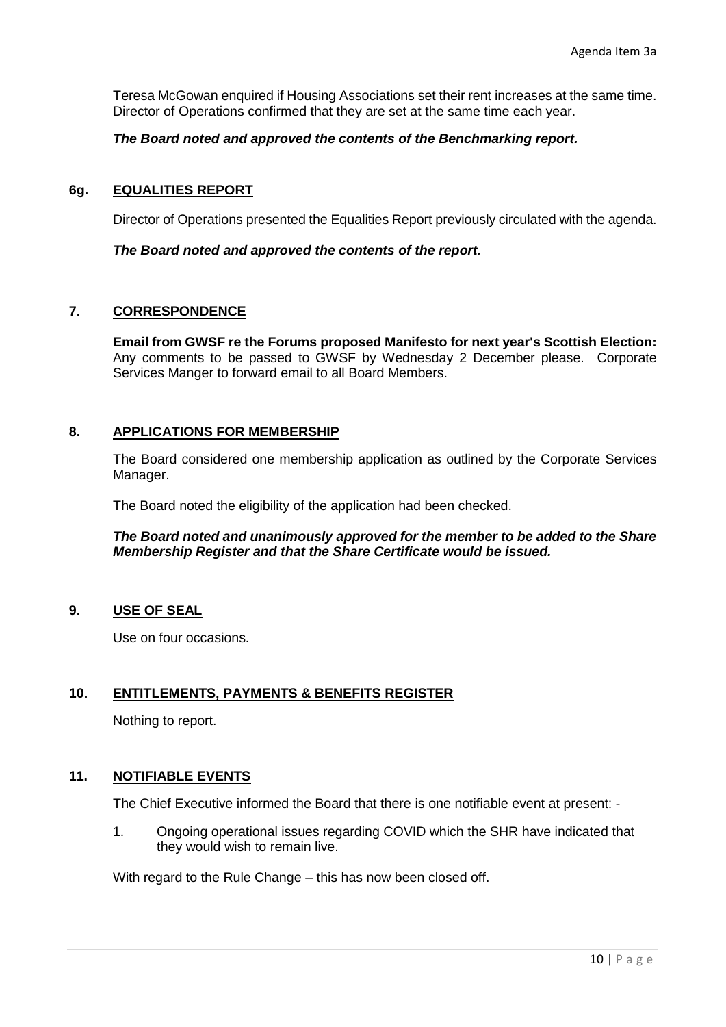Teresa McGowan enquired if Housing Associations set their rent increases at the same time. Director of Operations confirmed that they are set at the same time each year.

## *The Board noted and approved the contents of the Benchmarking report.*

## **6g. EQUALITIES REPORT**

Director of Operations presented the Equalities Report previously circulated with the agenda.

#### *The Board noted and approved the contents of the report.*

## **7. CORRESPONDENCE**

**Email from GWSF re the Forums proposed Manifesto for next year's Scottish Election:**  Any comments to be passed to GWSF by Wednesday 2 December please. Corporate Services Manger to forward email to all Board Members.

## **8. APPLICATIONS FOR MEMBERSHIP**

The Board considered one membership application as outlined by the Corporate Services Manager.

The Board noted the eligibility of the application had been checked.

## *The Board noted and unanimously approved for the member to be added to the Share Membership Register and that the Share Certificate would be issued.*

#### **9. USE OF SEAL**

Use on four occasions.

# **10. ENTITLEMENTS, PAYMENTS & BENEFITS REGISTER**

Nothing to report.

# **11. NOTIFIABLE EVENTS**

The Chief Executive informed the Board that there is one notifiable event at present: -

1. Ongoing operational issues regarding COVID which the SHR have indicated that they would wish to remain live.

With regard to the Rule Change – this has now been closed off.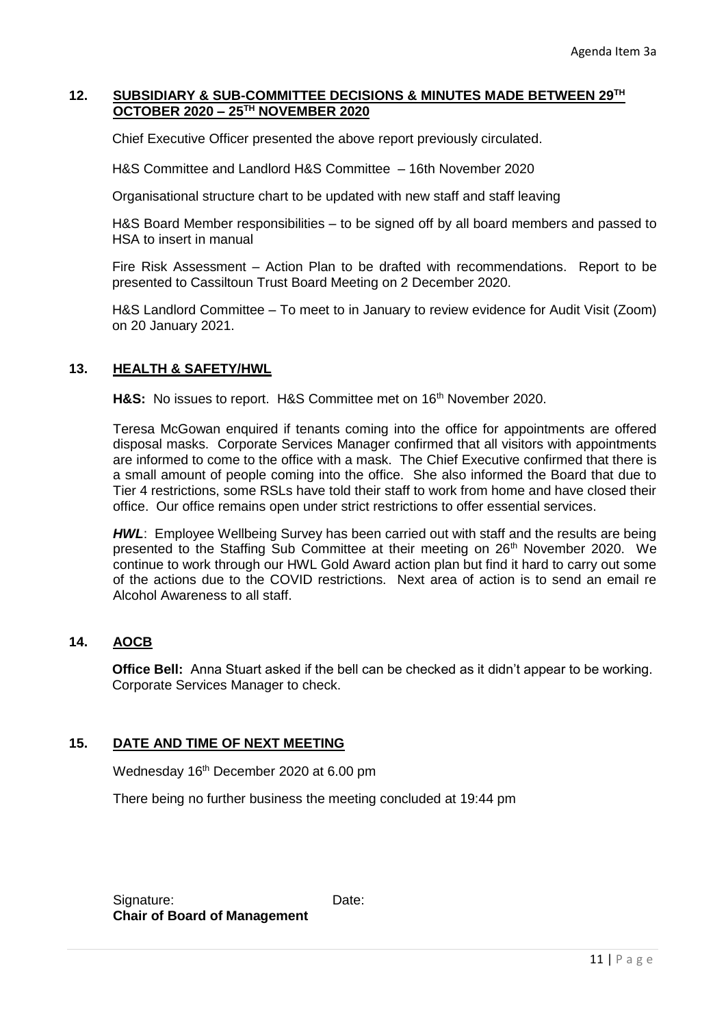## **12. SUBSIDIARY & SUB-COMMITTEE DECISIONS & MINUTES MADE BETWEEN 29TH OCTOBER 2020 – 25TH NOVEMBER 2020**

Chief Executive Officer presented the above report previously circulated.

H&S Committee and Landlord H&S Committee – 16th November 2020

Organisational structure chart to be updated with new staff and staff leaving

H&S Board Member responsibilities – to be signed off by all board members and passed to HSA to insert in manual

Fire Risk Assessment – Action Plan to be drafted with recommendations. Report to be presented to Cassiltoun Trust Board Meeting on 2 December 2020.

H&S Landlord Committee – To meet to in January to review evidence for Audit Visit (Zoom) on 20 January 2021.

# **13. HEALTH & SAFETY/HWL**

H&S: No issues to report. H&S Committee met on 16<sup>th</sup> November 2020.

Teresa McGowan enquired if tenants coming into the office for appointments are offered disposal masks. Corporate Services Manager confirmed that all visitors with appointments are informed to come to the office with a mask. The Chief Executive confirmed that there is a small amount of people coming into the office. She also informed the Board that due to Tier 4 restrictions, some RSLs have told their staff to work from home and have closed their office. Our office remains open under strict restrictions to offer essential services.

*HWL*: Employee Wellbeing Survey has been carried out with staff and the results are being presented to the Staffing Sub Committee at their meeting on 26<sup>th</sup> November 2020. We continue to work through our HWL Gold Award action plan but find it hard to carry out some of the actions due to the COVID restrictions. Next area of action is to send an email re Alcohol Awareness to all staff.

# **14. AOCB**

**Office Bell:** Anna Stuart asked if the bell can be checked as it didn't appear to be working. Corporate Services Manager to check.

# **15. DATE AND TIME OF NEXT MEETING**

Wednesday 16<sup>th</sup> December 2020 at 6.00 pm

There being no further business the meeting concluded at 19:44 pm

Signature: Date: **Chair of Board of Management**